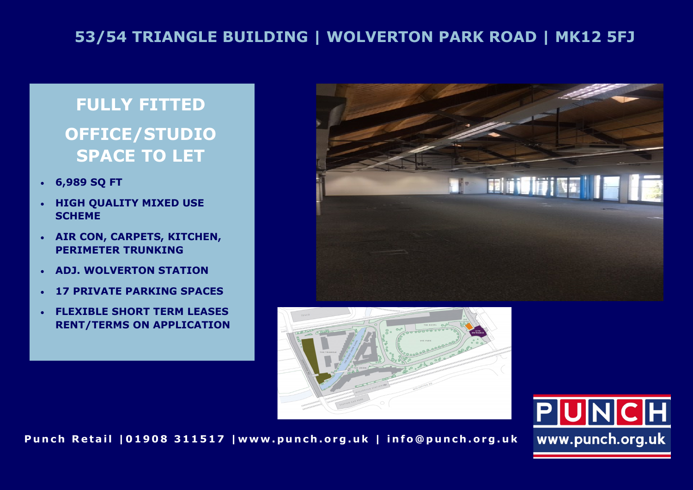## **53/54 TRIANGLE BUILDING | WOLVERTON PARK ROAD | MK12 5FJ**

# **FULLY FITTED OFFICE/STUDIO SPACE TO LET**

- **6,989 SQ FT**
- **HIGH QUALITY MIXED USE SCHEME**
- **AIR CON, CARPETS, KITCHEN, PERIMETER TRUNKING**
- **ADJ. WOLVERTON STATION**
- **17 PRIVATE PARKING SPACES**
- **FLEXIBLE SHORT TERM LEASES RENT/TERMS ON APPLICATION**







Punch Retail | 01908 311517 | www.punch.org.uk | info@punch.org.uk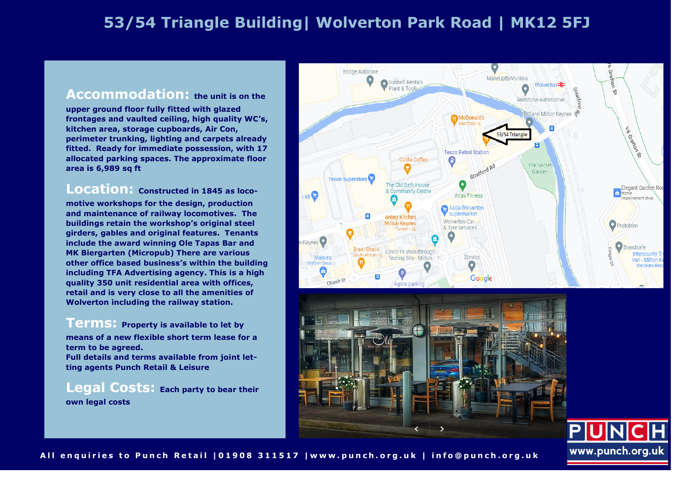## **53/54 Triangle Building| Wolverton Park Road | MK12 5FJ**

#### **Accommodation: the unit is on the**

**upper ground floor fully fitted with glazed frontages and vaulted ceiling, high quality WC's, kitchen area, storage cupboards, Air Con, perimeter trunking, lighting and carpets already fitted. Ready for immediate possession, with 17 allocated parking spaces. The approximate floor area is 6,989 sq ft**

### **Location: Constructed in 1845 as loco-**

**motive workshops for the design, production and maintenance of railway locomotives. The buildings retain the workshop's original steel girders, gables and original features. Tenants include the award winning Ole Tapas Bar and MK Biergarten (Micropub) There are various other office based business's within the building including TFA Advertising agency. This is a high quality 350 unit residential area with offices, retail and is very close to all the amenities of Wolverton including the railway station.**

**Terms: Property is available to let by means of a new flexible short term lease for a term to be agreed. Full details and terms available from joint letting agents Punch Retail & Leisure**

**Legal Costs: Each party to bear their own legal costs** 







All enquiries to Punch Retail | 01908 311517 | www.punch.org.uk | info@punch.org.uk